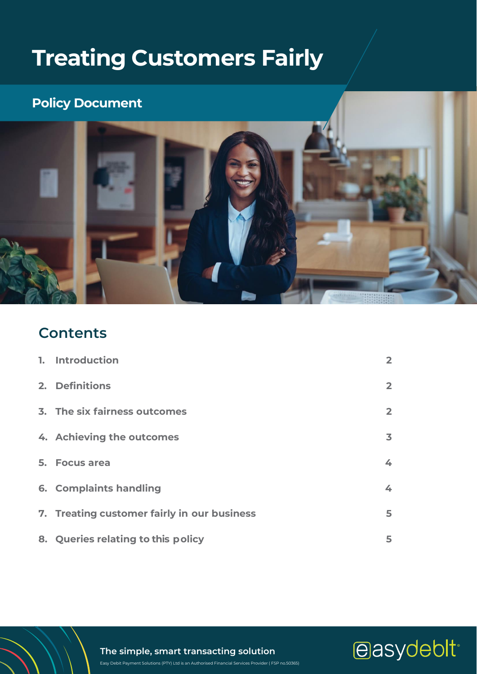# **Treating Customers Fairly**

## **Policy Document**



## **Contents**

| 1. Introduction                             | $\overline{2}$ |
|---------------------------------------------|----------------|
| 2. Definitions                              | $\overline{2}$ |
| 3. The six fairness outcomes                | $\overline{2}$ |
| 4. Achieving the outcomes                   | 3              |
| 5. Focus area                               | 4              |
| 6. Complaints handling                      | 4              |
| 7. Treating customer fairly in our business | 5              |
| 8. Queries relating to this policy          | 5              |

**The simple, smart transacting solution**

Easy Debit Payment Solutions (PTY) Ltd is an Authorised Financial Services Provider ( FSP no.50365)

easydeblt<sup>®</sup>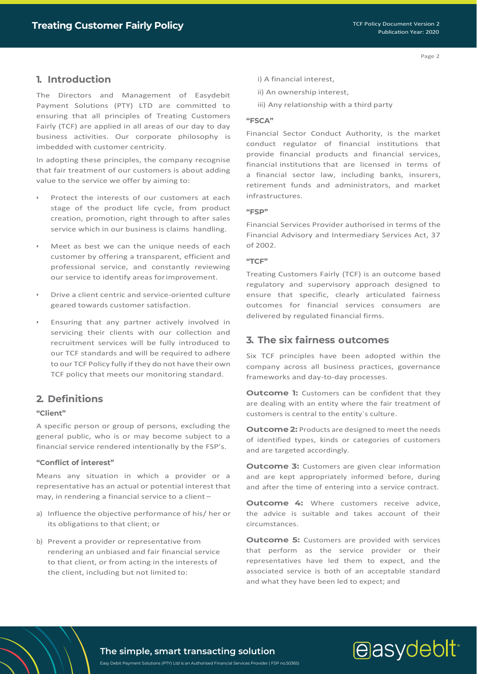## <span id="page-1-0"></span>**1. Introduction**

The Directors and Management of Easydebit Payment Solutions (PTY) LTD are committed to ensuring that all principles of Treating Customers Fairly (TCF) are applied in all areas of our day to day business activities. Our corporate philosophy is imbedded with customer centricity.

In adopting these principles, the company recognise that fair treatment of our customers is about adding value to the service we offer by aiming to:

- Protect the interests of our customers at each stage of the product life cycle, from product creation, promotion, right through to after sales service which in our business is claims handling.
- Meet as best we can the unique needs of each customer by offering a transparent, efficient and professional service, and constantly reviewing our service to identify areas forimprovement.
- Drive a client centric and service-oriented culture geared towards customer satisfaction.
- Ensuring that any partner actively involved in servicing their clients with our collection and recruitment services will be fully introduced to our TCF standards and will be required to adhere to our TCF Policy fully if they do not have their own TCF policy that meets our monitoring standard.

## <span id="page-1-1"></span>**2. Definitions**

#### **"Client"**

A specific person or group of persons, excluding the general public, who is or may become subject to a financial service rendered intentionally by the FSP's.

#### **"Conflict of interest"**

Means any situation in which a provider or a representative has an actual or potential interest that may, in rendering a financial service to a client –

- a) Influence the objective performance of his/ her or its obligations to that client; or
- b) Prevent a provider or representative from rendering an unbiased and fair financial service to that client, or from acting in the interests of the client, including but not limited to:
- i) A financial interest,
- ii) An ownership interest,
- iii) Any relationship with a third party

### **"FSCA"**

Financial Sector Conduct Authority, is the market conduct regulator of financial institutions that provide financial products and financial services, financial institutions that are licensed in terms of a financial sector law, including banks, insurers, retirement funds and administrators, and market infrastructures.

#### **"FSP"**

Financial Services Provider authorised in terms of the Financial Advisory and Intermediary Services Act, 37 of 2002.

#### **"TCF"**

Treating Customers Fairly (TCF) is an outcome based regulatory and supervisory approach designed to ensure that specific, clearly articulated fairness outcomes for financial services consumers are delivered by regulated financial firms.

## <span id="page-1-2"></span>**3. The six fairness outcomes**

Six TCF principles have been adopted within the company across all business practices, governance frameworks and day-to-day processes.

**Outcome 1:** Customers can be confident that they are dealing with an entity where the fair treatment of customers is central to the entity`s culture.

**Outcome 2:** Products are designed to meet the needs of identified types, kinds or categories of customers and are targeted accordingly.

**Outcome 3:** Customers are given clear information and are kept appropriately informed before, during and after the time of entering into a service contract.

**Outcome 4:** Where customers receive advice, the advice is suitable and takes account of their circumstances.

**Outcome 5:** Customers are provided with services that perform as the service provider or their representatives have led them to expect, and the associated service is both of an acceptable standard and what they have been led to expect; and

## easydebit<sup>®</sup>

**The simple, smart transacting solution**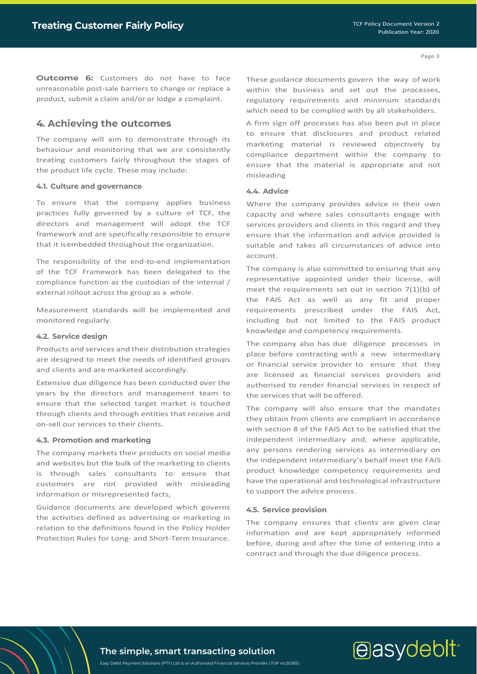**Outcome 6:** Customers do not have to face unreasonable post-sale barriers to change or replace a product, submit a claim and/or or lodge a complaint.

### <span id="page-2-0"></span>**4. Achieving the outcomes**

The company will aim to demonstrate through its behaviour and monitoring that we are consistently treating customers fairly throughout the stages of the product life cycle. These may include:

#### **4.1. Culture and governance**

To ensure that the company applies business practices fully governed by a culture of TCF, the directors and management will adopt the TCF framework and are specifically responsible to ensure that it isembedded throughout the organization.

The responsibility of the end-to-end implementation of the TCF Framework has been delegated to the compliance function as the custodian of the internal / external rollout across the group as a whole.

Measurement standards will be implemented and monitored regularly.

#### **4.2. Service design**

Products and services and their distribution strategies are designed to meet the needs of identified groups and clients and are marketed accordingly.

Extensive due diligence has been conducted over the years by the directors and management team to ensure that the selected target market is touched through clients and through entities that receive and on-sell our services to their clients.

#### **4.3. Promotion and marketing**

The company markets their products on social media and websites but the bulk of the marketing to clients is through sales consultants to ensure that customers are not provided with misleading information or misrepresented facts,

Guidance documents are developed which governs the activities defined as advertising or marketing in relation to the definitions found in the Policy Holder Protection Rules for Long- and Short-Term Insurance.

These guidance documents govern the way of work within the business and set out the processes, regulatory requirements and minimum standards which need to be complied with by all stakeholders.

A firm sign off processes has also been put in place to ensure that disclosures and product related marketing material is reviewed objectively by compliance department within the company to ensure that the material is appropriate and not misleading

#### **4.4. Advice**

Where the company provides advice in their own capacity and where sales consultants engage with services providers and clients in this regard and they ensure that the information and advice provided is suitable and takes all circumstances of advice into account.

The company is also committed to ensuring that any representative appointed under their license, will meet the requirements set out in section 7(1)(b) of the FAIS Act as well as any fit and proper requirements prescribed under the FAIS Act, including but not limited to the FAIS product knowledge and competency requirements.

The company also has due diligence processes in place before contracting with a new intermediary or financial service provider to ensure that they are licensed as financial services providers and authorised to render financial services in respect of the services that will be offered.

The company will also ensure that the mandates they obtain from clients are compliant in accordance with section 8 of the FAIS Act to be satisfied that the independent intermediary and, where applicable, any persons rendering services as intermediary on the independent intermediary's behalf meet the FAIS product knowledge competency requirements and have the operational and technological infrastructure to support the advice process.

#### **4.5. Service provision**

The company ensures that clients are given clear information and are kept appropriately informed before, during and after the time of entering into a contract and through the due diligence process.

easydebit<sup>®</sup>

## **The simple, smart transacting solution**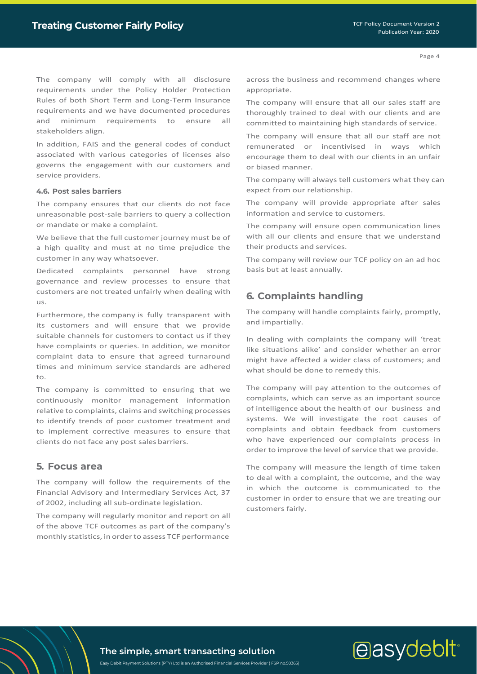The company will comply with all disclosure requirements under the Policy Holder Protection Rules of both Short Term and Long-Term Insurance requirements and we have documented procedures and minimum requirements to ensure all stakeholders align.

In addition, FAIS and the general codes of conduct associated with various categories of licenses also governs the engagement with our customers and service providers.

#### **4.6. Post sales barriers**

The company ensures that our clients do not face unreasonable post-sale barriers to query a collection or mandate or make a complaint.

We believe that the full customer journey must be of a high quality and must at no time prejudice the customer in any way whatsoever.

Dedicated complaints personnel have strong governance and review processes to ensure that customers are not treated unfairly when dealing with us.

Furthermore, the company is fully transparent with its customers and will ensure that we provide suitable channels for customers to contact us if they have complaints or queries. In addition, we monitor complaint data to ensure that agreed turnaround times and minimum service standards are adhered to.

The company is committed to ensuring that we continuously monitor management information relative to complaints, claims and switching processes to identify trends of poor customer treatment and to implement corrective measures to ensure that clients do not face any post sales barriers.

#### <span id="page-3-0"></span>**5. Focus area**

The company will follow the requirements of the Financial Advisory and Intermediary Services Act, 37 of 2002, including all sub-ordinate legislation.

The company will regularly monitor and report on all of the above TCF outcomes as part of the company's monthly statistics, in order to assess TCF performance

across the business and recommend changes where appropriate.

The company will ensure that all our sales staff are thoroughly trained to deal with our clients and are committed to maintaining high standards of service.

The company will ensure that all our staff are not remunerated or incentivised in ways which encourage them to deal with our clients in an unfair or biased manner.

The company will always tell customers what they can expect from our relationship.

The company will provide appropriate after sales information and service to customers.

The company will ensure open communication lines with all our clients and ensure that we understand their products and services.

The company will review our TCF policy on an ad hoc basis but at least annually.

### <span id="page-3-1"></span>**6. Complaints handling**

The company will handle complaints fairly, promptly, and impartially.

In dealing with complaints the company will 'treat like situations alike' and consider whether an error might have affected a wider class of customers; and what should be done to remedy this.

The company will pay attention to the outcomes of complaints, which can serve as an important source of intelligence about the health of our business and systems. We will investigate the root causes of complaints and obtain feedback from customers who have experienced our complaints process in order to improve the level of service that we provide.

The company will measure the length of time taken to deal with a complaint, the outcome, and the way in which the outcome is communicated to the customer in order to ensure that we are treating our customers fairly.

## easydebit<sup>®</sup>

**The simple, smart transacting solution**